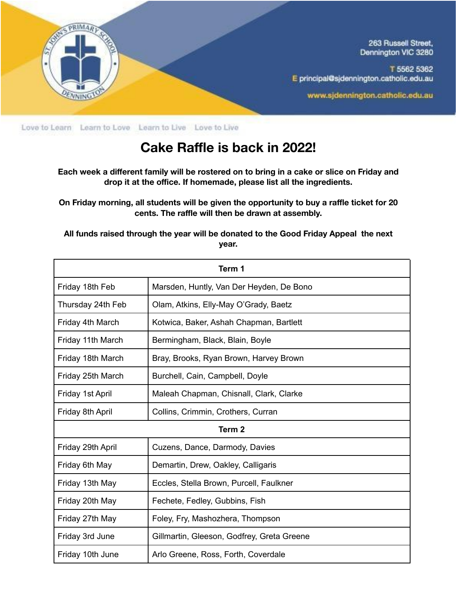

Love to Learn Learn to Love Learn to Live Love to Live

## **Cake Raffle is back in 2022!**

**Each week a different family will be rostered on to bring in a cake or slice on Friday and drop it at the office. If homemade, please list all the ingredients.**

**On Friday morning, all students will be given the opportunity to buy a raffle ticket for 20 cents. The raffle will then be drawn at assembly.**

**All funds raised through the year will be donated to the Good Friday Appeal the next year.**

| Term 1            |                                            |
|-------------------|--------------------------------------------|
| Friday 18th Feb   | Marsden, Huntly, Van Der Heyden, De Bono   |
| Thursday 24th Feb | Olam, Atkins, Elly-May O'Grady, Baetz      |
| Friday 4th March  | Kotwica, Baker, Ashah Chapman, Bartlett    |
| Friday 11th March | Bermingham, Black, Blain, Boyle            |
| Friday 18th March | Bray, Brooks, Ryan Brown, Harvey Brown     |
| Friday 25th March | Burchell, Cain, Campbell, Doyle            |
| Friday 1st April  | Maleah Chapman, Chisnall, Clark, Clarke    |
| Friday 8th April  | Collins, Crimmin, Crothers, Curran         |
| Term <sub>2</sub> |                                            |
| Friday 29th April | Cuzens, Dance, Darmody, Davies             |
| Friday 6th May    | Demartin, Drew, Oakley, Calligaris         |
| Friday 13th May   | Eccles, Stella Brown, Purcell, Faulkner    |
| Friday 20th May   | Fechete, Fedley, Gubbins, Fish             |
| Friday 27th May   | Foley, Fry, Mashozhera, Thompson           |
| Friday 3rd June   | Gillmartin, Gleeson, Godfrey, Greta Greene |
| Friday 10th June  | Arlo Greene, Ross, Forth, Coverdale        |